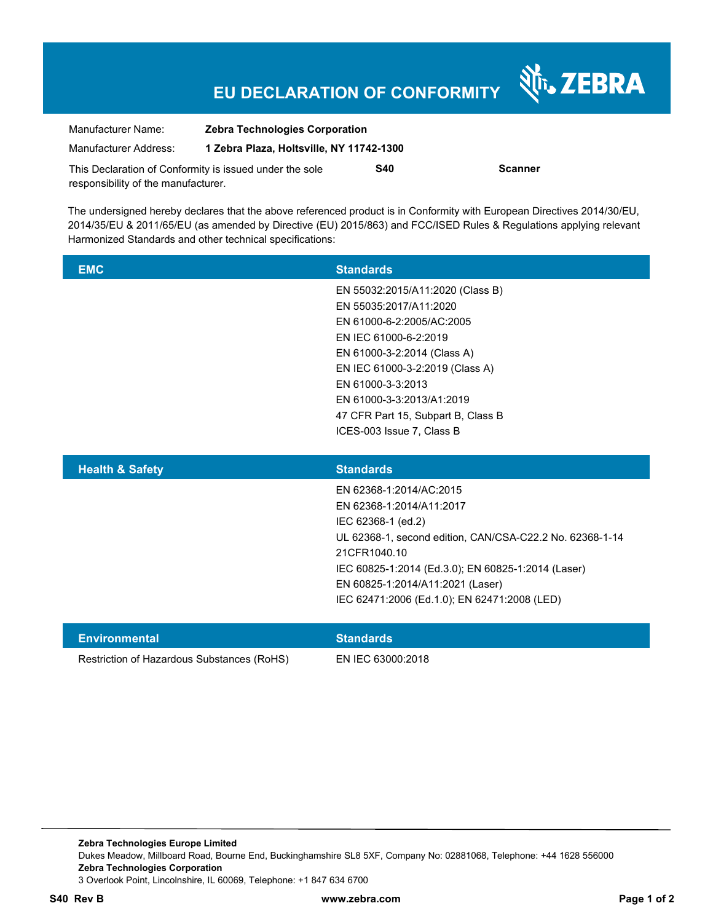## **EU DECLARATION OF CONFORMITY**

| Manufacturer Name:                                                                             | <b>Zebra Technologies Corporation</b>    |            |                |
|------------------------------------------------------------------------------------------------|------------------------------------------|------------|----------------|
| Manufacturer Address:                                                                          | 1 Zebra Plaza, Holtsville, NY 11742-1300 |            |                |
| This Declaration of Conformity is issued under the sole<br>responsibility of the manufacturer. |                                          | <b>S40</b> | <b>Scanner</b> |

The undersigned hereby declares that the above referenced product is in Conformity with European Directives 2014/30/EU, 2014/35/EU & 2011/65/EU (as amended by Directive (EU) 2015/863) and FCC/ISED Rules & Regulations applying relevant Harmonized Standards and other technical specifications:

| <b>EMC</b>                 | <b>Standards</b>                                         |
|----------------------------|----------------------------------------------------------|
|                            | EN 55032:2015/A11:2020 (Class B)                         |
|                            | EN 55035:2017/A11:2020                                   |
|                            | EN 61000-6-2:2005/AC:2005                                |
|                            | EN IEC 61000-6-2:2019                                    |
|                            | EN 61000-3-2:2014 (Class A)                              |
|                            | EN IEC 61000-3-2:2019 (Class A)                          |
|                            | EN 61000-3-3:2013                                        |
|                            | EN 61000-3-3:2013/A1:2019                                |
|                            | 47 CFR Part 15, Subpart B, Class B                       |
|                            | ICES-003 Issue 7, Class B                                |
|                            |                                                          |
| <b>Health &amp; Safety</b> | <b>Standards</b>                                         |
|                            | EN 62368-1:2014/AC:2015                                  |
|                            | EN 62368-1:2014/A11:2017                                 |
|                            | IEC 62368-1 (ed.2)                                       |
|                            | UL 62368-1, second edition, CAN/CSA-C22.2 No. 62368-1-14 |

21CFR1040.10

IEC 60825-1:2014 (Ed.3.0); EN 60825-1:2014 (Laser)

Nr. ZEBRA

Restriction of Hazardous Substances (RoHS) EN IEC 63000:2018